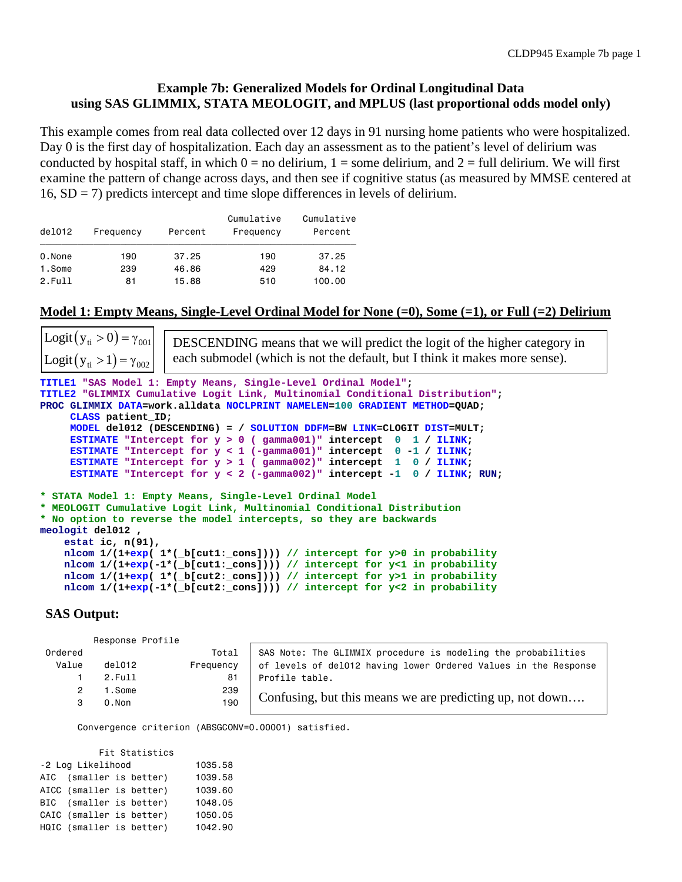# **Example 7b: Generalized Models for Ordinal Longitudinal Data using SAS GLIMMIX, STATA MEOLOGIT, and MPLUS (last proportional odds model only)**

This example comes from real data collected over 12 days in 91 nursing home patients who were hospitalized. Day 0 is the first day of hospitalization. Each day an assessment as to the patient's level of delirium was conducted by hospital staff, in which  $0 =$  no delirium,  $1 =$  some delirium, and  $2 =$  full delirium. We will first examine the pattern of change across days, and then see if cognitive status (as measured by MMSE centered at  $16$ ,  $SD = 7$ ) predicts intercept and time slope differences in levels of delirium.

| de1012 | Frequency | Percent | Cumulative<br>Frequency | Cumulative<br>Percent |
|--------|-----------|---------|-------------------------|-----------------------|
| 0.None | 190       | 37.25   | 190                     | 37.25                 |
| 1.Some | 239       | 46.86   | 429                     | 84.12                 |
| 2.Fu11 | 81        | 15.88   | 510                     | 100.00                |

## **Model 1: Empty Means, Single-Level Ordinal Model for None (=0), Some (=1), or Full (=2) Delirium**

**TITLE1 "SAS Model 1: Empty Means, Single-Level Ordinal Model"; TITLE2 "GLIMMIX Cumulative Logit Link, Multinomial Conditional Distribution"; PROC GLIMMIX DATA=work.alldata NOCLPRINT NAMELEN=100 GRADIENT METHOD=QUAD; CLASS patient\_ID; MODEL del012 (DESCENDING) = / SOLUTION DDFM=BW LINK=CLOGIT DIST=MULT; ESTIMATE "Intercept for y > 0 ( gamma001)" intercept 0 1 / ILINK; ESTIMATE "Intercept for y < 1 (-gamma001)" intercept 0 -1 / ILINK; ESTIMATE "Intercept for y > 1 ( gamma002)" intercept 1 0 / ILINK; ESTIMATE "Intercept for y < 2 (-gamma002)" intercept -1 0 / ILINK; RUN; \* STATA Model 1: Empty Means, Single-Level Ordinal Model \* MEOLOGIT Cumulative Logit Link, Multinomial Conditional Distribution \* No option to reverse the model intercepts, so they are backwards meologit del012 , estat ic, n(91), nlcom 1/(1+exp( 1\*(\_b[cut1:\_cons]))) // intercept for y>0 in probability nlcom 1/(1+exp(-1\*(\_b[cut1:\_cons]))) // intercept for y<1 in probability nlcom 1/(1+exp( 1\*(\_b[cut2:\_cons]))) // intercept for y>1 in probability nlcom 1/(1+exp(-1\*(\_b[cut2:\_cons]))) // intercept for y<2 in probability** Logit  $(y_{ti} > 0) = \gamma_{001}$ Logit  $(y_{ti} > 1) = \gamma_{002}$ DESCENDING means that we will predict the logit of the higher category in each submodel (which is not the default, but I think it makes more sense).

# **SAS Output:**

Response Profile

| Ordered |        | Total     | SAS Note: The GLIMMIX procedure is modeling the probabilities   |
|---------|--------|-----------|-----------------------------------------------------------------|
| Value   | de1012 | Frequency | of levels of del012 having lower Ordered Values in the Response |
|         | 2.Fu11 | 81        | Profile table.                                                  |
| 2       | 1.Some | 239       |                                                                 |
|         | 0.Non  | 190       | Confusing, but this means we are predicting up, not down        |
|         |        |           |                                                                 |

Convergence criterion (ABSGCONV=0.00001) satisfied.

| Fit Statistics    |                          |  |  |         |  |  |  |
|-------------------|--------------------------|--|--|---------|--|--|--|
| -2 Log Likelihood | 1035.58                  |  |  |         |  |  |  |
|                   | AIC (smaller is better)  |  |  | 1039.58 |  |  |  |
|                   | AICC (smaller is better) |  |  | 1039.60 |  |  |  |
|                   | BIC (smaller is better)  |  |  | 1048.05 |  |  |  |
|                   | CAIC (smaller is better) |  |  | 1050.05 |  |  |  |
|                   | HQIC (smaller is better) |  |  | 1042.90 |  |  |  |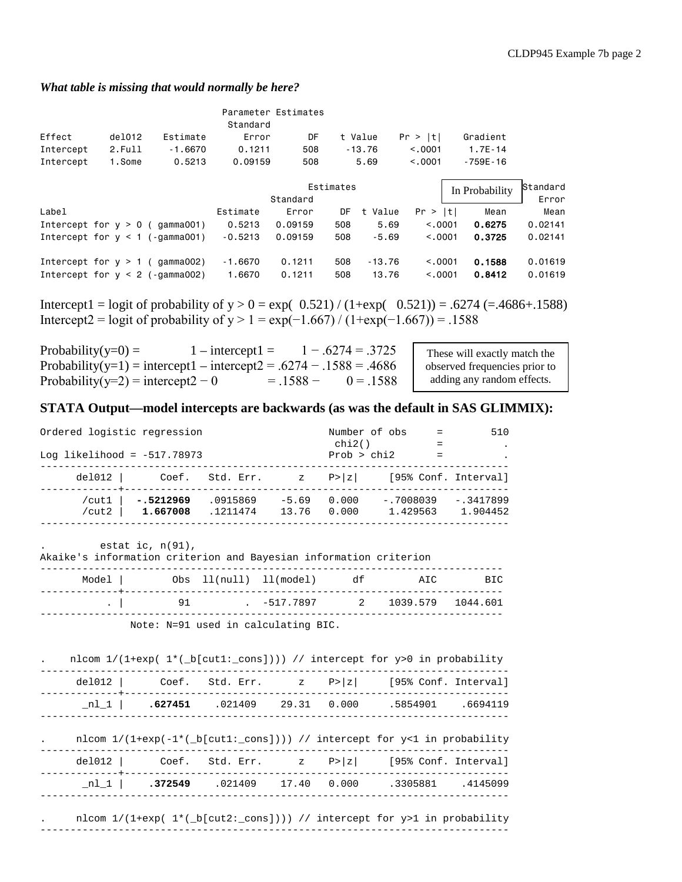#### *What table is missing that would normally be here?*

|                       |                                   |                          | Standard            | Parameter Estimates |            |                   |                    |                  |                    |
|-----------------------|-----------------------------------|--------------------------|---------------------|---------------------|------------|-------------------|--------------------|------------------|--------------------|
| Effect                | del012                            | Estimate                 | Error               | DF                  |            | t Value           | Pr >  t            | Gradient         |                    |
| Intercept             | 2.Full                            | $-1.6670$                | 0.1211              | 508                 |            | $-13.76$          | < 0.001            | $1.7E - 14$      |                    |
| Intercept             | 1.Some                            | 0.5213                   | 0.09159             | 508                 |            | 5.69              | < 0.001            | $-759E - 16$     |                    |
|                       |                                   |                          |                     |                     |            |                   |                    |                  |                    |
|                       |                                   |                          |                     |                     | Estimates  |                   |                    | In Probability   | Standard           |
|                       |                                   |                          |                     | Standard            |            |                   |                    |                  | Error              |
| Label                 |                                   |                          | Estimate            | Error               | DF         | t Value           | Pr >  t            | Mean             | Mean               |
| Intercept for $y > 0$ |                                   | gamma001)                | 0.5213              | 0.09159             | 508        | 5.69              | < 0.001            | 0.6275           | 0.02141            |
|                       | Intercept for $y < 1$ (-gamma001) |                          | $-0.5213$           | 0.09159             | 508        | $-5.69$           | < 0.001            | 0.3725           | 0.02141            |
| Intercept for $y < 2$ | Intercept for $y > 1$ (           | qamma002)<br>(-gamma002) | $-1.6670$<br>1.6670 | 0.1211<br>0.1211    | 508<br>508 | $-13.76$<br>13,76 | < 0.001<br>< 0.001 | 0.1588<br>0.8412 | 0.01619<br>0.01619 |

Intercept1 = logit of probability of  $y > 0 = exp($  0.521) / (1+exp( 0.521)) = .6274 (=.4686+.1588) Intercept2 = logit of probability of y > 1 = exp(-1.667) / (1+exp(-1.667)) = .1588

| Probability(y=0) =                                                 | $1$ – intercept $1 =$ |            | $1 - .6274 = .3725$ |
|--------------------------------------------------------------------|-----------------------|------------|---------------------|
| Probability(y=1) = intercept1 – intercept2 = .6274 – .1588 = .4686 |                       |            |                     |
| Probability(y=2) = intercept2 - 0                                  |                       | $= 1588 -$ | $0 = 1588$          |

These will exactly match the observed frequencies prior to adding any random effects.

### **STATA Output—model intercepts are backwards (as was the default in SAS GLIMMIX):**

| Ordered logistic regression<br>Log likelihood = $-517.78973$ |                         |                      |                  | chi2()<br>Prob > chi2 | Number of obs           | 510                     |
|--------------------------------------------------------------|-------------------------|----------------------|------------------|-----------------------|-------------------------|-------------------------|
| $del012$                                                     |                         | Coef. Std. Err.      |                  | $z \qquad P >  z $    |                         | [95% Conf. Interval]    |
| /cut1<br>/ $cut2$                                            | $-.5212969$<br>1.667008 | .0915869<br>.1211474 | $-5.69$<br>13.76 | 0.000<br>0.000        | $-.7008039$<br>1.429563 | $-.3417899$<br>1.904452 |

. estat ic, n(91),

#### Akaike's information criterion and Bayesian information criterion

| Model   Obs ll(null) ll(model) df |                                 | AIC | BIC. |
|-----------------------------------|---------------------------------|-----|------|
| .   91                            | $-517.7897$ 2 1039.579 1044.601 |     |      |

Note: N=91 used in calculating BIC.

|        | nlcom $1/(1+exp(1*(-b[cut1:cons])))/$ intercept for y>0 in probability         |  |                   |  |
|--------|--------------------------------------------------------------------------------|--|-------------------|--|
|        | del012 $\vert$ Coef. Std. Err. z P> z  [95% Conf. Interval]                    |  |                   |  |
| $nl_1$ | .627451 .021409 29.31 0.000                                                    |  | .5854901 .6694119 |  |
|        | nlcom $1/(1+exp(-1*(-b[cut1:cons])))/$ intercept for y<1 in probability        |  |                   |  |
|        | del012 Coef. Std. Err. $\vert z \vert$ P> $\vert z \vert$ [95% Conf. Interval] |  |                   |  |
|        |                                                                                |  |                   |  |
| nl 1   | 372549 .021409 17.40 0.000                                                     |  | .3305881 .4145099 |  |

nlcom  $1/(1+exp( 1*(-b[cut2:-cons])) )$  // intercept for y>1 in probability ------------------------------------------------------------------------------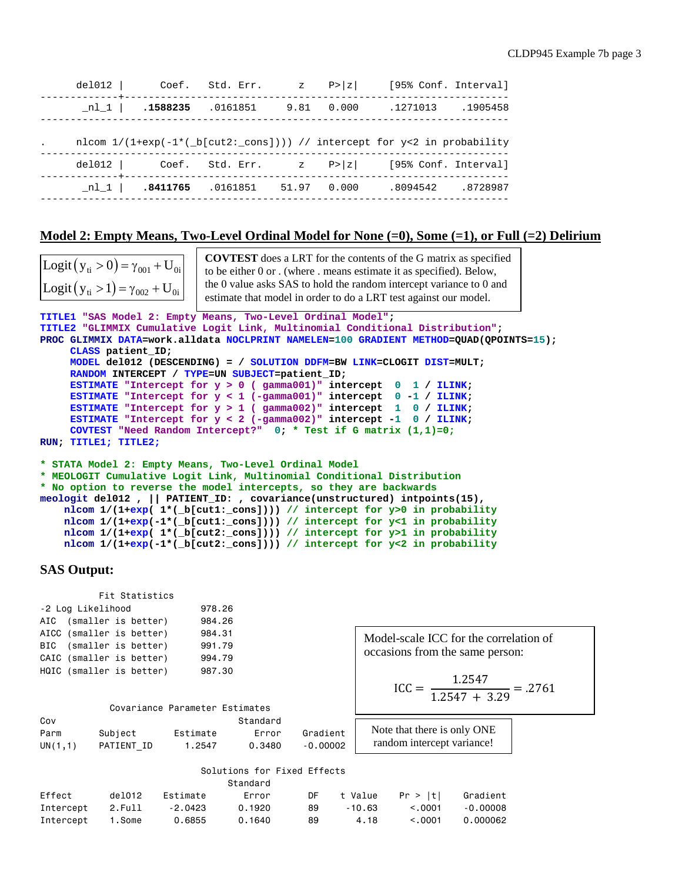|  |                                      |  | del012   Coef. Std. Err. $z = P >  z $ [95% Conf. Interval]                                                                                                               |  |
|--|--------------------------------------|--|---------------------------------------------------------------------------------------------------------------------------------------------------------------------------|--|
|  |                                      |  | $\begin{array}{cccccccc} \texttt{nl\_1} &   & \texttt{.1588235} & \texttt{.0161851} & \texttt{9.81} & \texttt{0.000} & \texttt{.1271013} & \texttt{.1905458} \end{array}$ |  |
|  |                                      |  | nlcom $1/(1+exp(-1*(-b[cut2:cons])))/$ intercept for y<2 in probability                                                                                                   |  |
|  |                                      |  | del012 $\vert$ Coef. Std. Err. z P> z  [95% Conf. Interval]                                                                                                               |  |
|  | nl 1   18411765 10161851 51.97 0.000 |  | .8094542 .8728987                                                                                                                                                         |  |
|  |                                      |  |                                                                                                                                                                           |  |

#### **Model 2: Empty Means, Two-Level Ordinal Model for None (=0), Some (=1), or Full (=2) Delirium**

Logit  $(y_{ti} > 0) = \gamma_{001} + U_{0i}$ Logit  $(y_{ti} > 1) = \gamma_{002} + U_{0i}$ 

**COVTEST** does a LRT for the contents of the G matrix as specified to be either 0 or . (where . means estimate it as specified). Below, the 0 value asks SAS to hold the random intercept variance to 0 and estimate that model in order to do a LRT test against our model.

```
TITLE1 "SAS Model 2: Empty Means, Two-Level Ordinal Model";
TITLE2 "GLIMMIX Cumulative Logit Link, Multinomial Conditional Distribution";
PROC GLIMMIX DATA=work.alldata NOCLPRINT NAMELEN=100 GRADIENT METHOD=QUAD(QPOINTS=15);
      CLASS patient_ID;
      MODEL del012 (DESCENDING) = / SOLUTION DDFM=BW LINK=CLOGIT DIST=MULT; 
      RANDOM INTERCEPT / TYPE=UN SUBJECT=patient_ID;
      ESTIMATE "Intercept for y > 0 ( gamma001)" intercept 0 1 / ILINK;
      ESTIMATE "Intercept for y < 1 (-gamma001)" intercept 0 -1 / ILINK;
      ESTIMATE "Intercept for y > 1 ( gamma002)" intercept 1 0 / ILINK;
      ESTIMATE "Intercept for y < 2 (-gamma002)" intercept -1 0 / ILINK; 
      COVTEST "Need Random Intercept?" 0; * Test if G matrix (1,1)=0;
RUN; TITLE1; TITLE2;
* STATA Model 2: Empty Means, Two-Level Ordinal Model
* MEOLOGIT Cumulative Logit Link, Multinomial Conditional Distribution
```

```
* No option to reverse the model intercepts, so they are backwards
meologit del012 , || PATIENT_ID: , covariance(unstructured) intpoints(15),
    nlcom 1/(1+exp( 1*(_b[cut1:_cons]))) // intercept for y>0 in probability
    nlcom 1/(1+exp(-1*(_b[cut1:_cons]))) // intercept for y<1 in probability
    nlcom 1/(1+exp( 1*(_b[cut2:_cons]))) // intercept for y>1 in probability
    nlcom 1/(1+exp(-1*(_b[cut2:_cons]))) // intercept for y<2 in probability
```
### **SAS Output:**

|                          | Fit Statistics |        |
|--------------------------|----------------|--------|
| -2 Log Likelihood        |                | 978.26 |
| AIC (smaller is better)  |                | 984.26 |
| AICC (smaller is better) |                | 984.31 |
| BIC (smaller is better)  |                | 991.79 |
| CAIC (smaller is better) |                | 994.79 |
| HQIC (smaller is better) |                | 987.30 |

Model-scale ICC for the correlation of occasions from the same person:

$$
ICC = \frac{1.2547}{1.2547 + 3.29} = .2761
$$

|         |            | Covariance Parameter Estimates |          |            |         |
|---------|------------|--------------------------------|----------|------------|---------|
| Cov     |            |                                | Standard |            |         |
| Parm    | Subject    | Estimate                       | Frror    | Gradient   | Note th |
| UN(1,1) | PATIENT ID | 1.2547                         | 0.3480   | $-0.00002$ | randor  |

hat there is only ONE m intercept variance!

|        |        |                          | Solutions for Fixed Effects |            |                              |            |
|--------|--------|--------------------------|-----------------------------|------------|------------------------------|------------|
|        |        |                          | Standard                    |            |                              |            |
| Effect | del012 | Estimate                 | Error                       |            | DF t Value Pr > Itl Gradient |            |
|        |        | Intercept 2.Full -2.0423 | 0.1920                      | 89 - 10.63 | < 0.001                      | $-0.00008$ |

Intercept 1.Some 0.6855 0.1640 89 4.18 <.0001 0.000062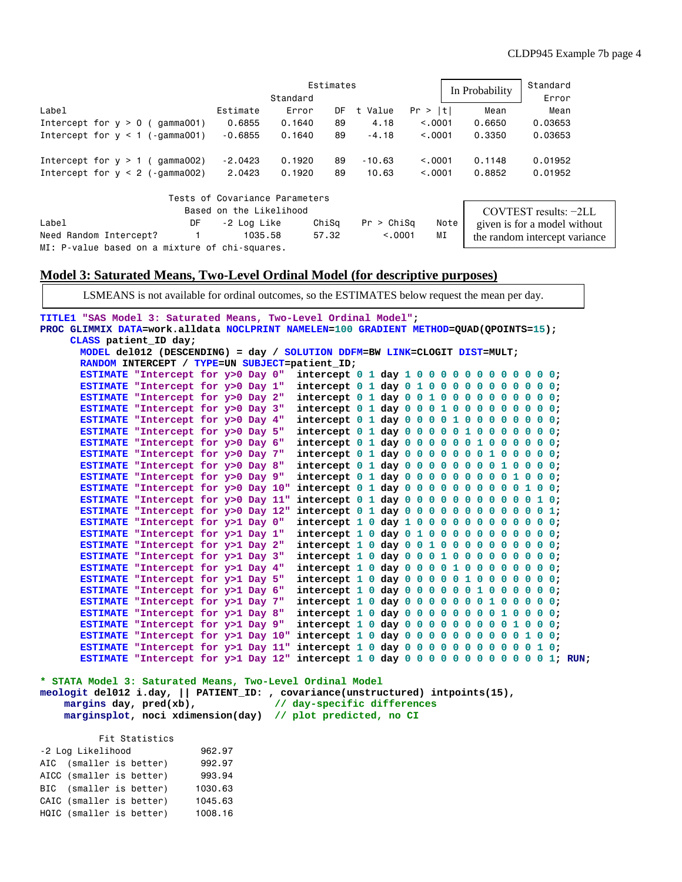|                                                |                                |          | Estimates |            | In Probability | Standard |                               |  |
|------------------------------------------------|--------------------------------|----------|-----------|------------|----------------|----------|-------------------------------|--|
|                                                |                                | Standard |           |            |                |          | Error                         |  |
| Label                                          | Estimate                       | Error    | DF        | t<br>Value | Pr >  t        | Mean     | Mean                          |  |
| Intercept for $y > 0$ (gamma001)               | 0.6855                         | 0.1640   | 89        | 4.18       | < 0.001        | 0.6650   | 0.03653                       |  |
| Intercept for $y < 1$ (-gamma001)              | $-0.6855$                      | 0.1640   | 89        | $-4.18$    | < 0.0001       | 0.3350   | 0.03653                       |  |
| Intercept for $v > 1$ ( gamma002)              | $-2.0423$                      | 0.1920   | 89        | $-10.63$   | < 0.001        | 0.1148   | 0.01952                       |  |
| Intercept for $y < 2$ (-gamma002)              | 2.0423                         | 0.1920   | 89        | 10.63      | < 0.001        | 0.8852   | 0.01952                       |  |
|                                                | Tests of Covariance Parameters |          |           |            |                |          |                               |  |
|                                                | Based on the Likelihood        |          |           |            |                |          | $COVTEST$ results: $-2LL$     |  |
| Label<br>DF                                    | -2 Log Like                    |          | ChiSq     | Pr > Chisq | Note           |          | given is for a model without  |  |
| Need Random Intercept?                         | 1035.58                        |          | 57.32     | < 0.001    | ΜI             |          | the random intercept variance |  |
| MI: P-value based on a mixture of chi-squares. |                                |          |           |            |                |          |                               |  |

## **Model 3: Saturated Means, Two-Level Ordinal Model (for descriptive purposes)**

LSMEANS is not available for ordinal outcomes, so the ESTIMATES below request the mean per day.

**TITLE1 "SAS Model 3: Saturated Means, Two-Level Ordinal Model"; PROC GLIMMIX DATA=work.alldata NOCLPRINT NAMELEN=100 GRADIENT METHOD=QUAD(QPOINTS=15); CLASS patient\_ID day; MODEL del012 (DESCENDING) = day / SOLUTION DDFM=BW LINK=CLOGIT DIST=MULT; RANDOM INTERCEPT / TYPE=UN SUBJECT=patient\_ID; ESTIMATE "Intercept for y>0 Day 0" intercept 0 1 day 1 0 0 0 0 0 0 0 0 0 0 0 0; ESTIMATE "Intercept for y>0 Day 1" intercept 0 1 day 0 1 0 0 0 0 0 0 0 0 0 0 0; ESTIMATE "Intercept for y>0 Day 2" intercept 0 1 day 0 0 1 0 0 0 0 0 0 0 0 0 0; ESTIMATE "Intercept for y>0 Day 3" intercept 0 1 day 0 0 0 1 0 0 0 0 0 0 0 0 0;**

|  |  |  | ESTIMATE "Intercept for y>0 Day 4"<br>ESTIMATE "Intercept for y>0 Day 5"<br>ESTIMATE "Intercept for y>0 Day 6"<br>ESTIMATE "Intercept for y>0 Day 7"<br>ESTIMATE "Intercept for y>0 Day 8"<br>ESTIMATE "Intercept for y>0 Day 9"<br>ESTIMATE "Intercept for y>0 Day 10"<br>ESTIMATE "Intercept for y>0 Day 11"<br>ESTIMATE "Intercept for y>0 Day 12"<br>ESTIMATE "Intercept for y>1 Day 0"<br>ESTIMATE "Intercept for y>1 Day 1"<br>ESTIMATE "Intercept for y>1 Day 2"<br>ESTIMATE "Intercept for y>1 Day 3"<br>ESTIMATE "Intercept for y>1 Day 4"<br>ESTIMATE "Intercept for y>1 Day 5"<br>ESTIMATE "Intercept for y>1 Day 6"<br>ESTIMATE "Intercept for y>1 Day 7"<br>ESTIMATE "Intercept for y>1 Day 8"<br>ESTIMATE "Intercept for y>1 Day 9"<br>ESTIMATE "Intercept for y>1 Day 10"<br>ESTIMATE "Intercept for y>1 Day 11" |  |  |  |  |  |  |  |  | intercept $0$ 1 day 0 0 0 0 1 0 0 0 0 0 0 0 0;<br>intercept 0 1 day 0 0 0 0 0 1 0 0 0 0 0 0 0;<br>$intercept 0 1 day 0 0 0 0 0 1 0 0 0 0 0;$<br>$intercept 0 1 day 0 0 0 0 0 0 1 0 0 0 0;$<br>$intercept 0 1 day 0 0 0 0 0 0 0 1 0 0 0;$<br>intercept 0 1 day 0 0 0 0 0 0 0 0 0 1 0 0 0;<br>$intercept 0 1 day 0 0 0 0 0 0 0 0 0 1 0 0;$<br>$intercept 0 1 day 0 0 0 0 0 0 0 0 0 0 1 0;$<br>$intercept 0 1 day 0 0 0 0 0 0 0 0 0 0 1;$<br>$intercept 1 0 day 1 0 0 0 0 0 0 0 0 0 0;$<br>$intercept 1 0 day 0 1 0 0 0 0 0 0 0 0 0;$<br>$intercept 1 0 day 0 0 1 0 0 0 0 0 0 0 0;$<br>$intercept 1 0 day 0 0 0 1 0 0 0 0 0 0 0;$<br>$intercept 1 0 day 0 0 0 0 1 0 0 0 0 0 0;$<br>$intercept 1 0 day 0 0 0 0 1 0 0 0 0 0 0;$<br>$intercept 1 0 day 0 0 0 0 0 1 0 0 0 0 0;$<br>$intercept 1 0 day 0 0 0 0 0 0 1 0 0 0 0;$<br>$intercept 1 0 day 0 0 0 0 0 0 0 1 0 0 0;$<br>$intercept 1 0 day 0 0 0 0 0 0 0 0 1 0 0 0;$<br>$intercept 1 0 day 0 0 0 0 0 0 0 0 0 1 0 0:$<br>intercept $1\ 0\ day\ 0\ 0\ 0\ 0\ 0\ 0\ 0\ 0\ 0\ 1\ 0;$<br>ESTIMATE "Intercept for y>1 Day 12" intercept $1 0 day 0 0 0 0 0 0 0 0 0 0 0 1$ ; RUN; |
|--|--|--|---------------------------------------------------------------------------------------------------------------------------------------------------------------------------------------------------------------------------------------------------------------------------------------------------------------------------------------------------------------------------------------------------------------------------------------------------------------------------------------------------------------------------------------------------------------------------------------------------------------------------------------------------------------------------------------------------------------------------------------------------------------------------------------------------------------------------------|--|--|--|--|--|--|--|--|---------------------------------------------------------------------------------------------------------------------------------------------------------------------------------------------------------------------------------------------------------------------------------------------------------------------------------------------------------------------------------------------------------------------------------------------------------------------------------------------------------------------------------------------------------------------------------------------------------------------------------------------------------------------------------------------------------------------------------------------------------------------------------------------------------------------------------------------------------------------------------------------------------------------------------------------------------------------------------------------------------------------------------------------------------------------------------------------------------------------------|

**\* STATA Model 3: Saturated Means, Two-Level Ordinal Model meologit del012 i.day, || PATIENT\_ID: , covariance(unstructured) intpoints(15), margins day, pred(xb), marginsplot, noci xdimension(day) // plot predicted, no CI**

 Fit Statistics -2 Log Likelihood 962.97 AIC (smaller is better) 992.97 AICC (smaller is better) 993.94 BIC (smaller is better) 1030.63 CAIC (smaller is better) 1045.63 HQIC (smaller is better) 1008.16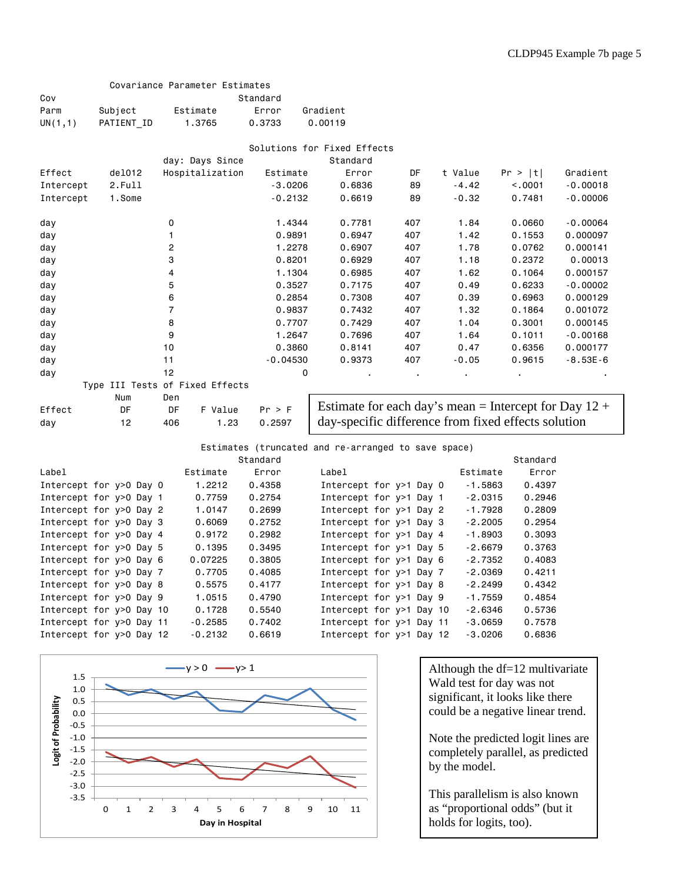|           |                           | Covariance Parameter Estimates  |            |                                                     |     |                                                         |          |            |
|-----------|---------------------------|---------------------------------|------------|-----------------------------------------------------|-----|---------------------------------------------------------|----------|------------|
| Cov       |                           |                                 | Standard   |                                                     |     |                                                         |          |            |
| Parm      | Subject                   | Estimate                        | Error      | Gradient                                            |     |                                                         |          |            |
| UN(1,1)   | PATIENT ID                | 1.3765                          | 0.3733     | 0.00119                                             |     |                                                         |          |            |
|           |                           |                                 |            | Solutions for Fixed Effects                         |     |                                                         |          |            |
|           |                           | day: Days Since                 |            | Standard                                            |     |                                                         |          |            |
| Effect    | de1012                    | Hospitalization                 | Estimate   | Error                                               | DF  | t Value                                                 | Pr >  t  | Gradient   |
| Intercept | 2.Full                    |                                 | $-3.0206$  | 0.6836                                              | 89  | $-4.42$                                                 | < .0001  | $-0.00018$ |
| Intercept | 1.Some                    |                                 | $-0.2132$  | 0.6619                                              | 89  | $-0.32$                                                 | 0.7481   | $-0.00006$ |
|           |                           |                                 |            |                                                     |     |                                                         |          |            |
| day       |                           | 0                               | 1.4344     | 0.7781                                              | 407 | 1.84                                                    | 0.0660   | $-0.00064$ |
| day       |                           | 1                               | 0.9891     | 0.6947                                              | 407 |                                                         | 0.1553   | 0.000097   |
| day       |                           | $\overline{c}$                  | 1.2278     | 0.6907                                              | 407 | 1.78                                                    | 0.0762   | 0.000141   |
| day       |                           | 3                               | 0.8201     | 0.6929                                              | 407 | 1.18                                                    | 0.2372   | 0.00013    |
| day       |                           | 4                               | 1.1304     | 0.6985                                              | 407 | 1.62                                                    | 0.1064   | 0.000157   |
| day       |                           | 5                               | 0.3527     | 0.7175                                              | 407 | 0.49                                                    | 0.6233   | $-0.00002$ |
| day       |                           | 6                               | 0.2854     | 0.7308                                              | 407 | 0.39                                                    | 0.6963   | 0.000129   |
| day       |                           | $\overline{7}$                  | 0.9837     | 0.7432                                              | 407 | 1.32                                                    | 0.1864   | 0.001072   |
| day       |                           | 8                               | 0.7707     | 0.7429                                              | 407 | 1.04                                                    | 0.3001   | 0.000145   |
| day       |                           | 9                               | 1.2647     | 0.7696                                              | 407 | 1.64                                                    | 0.1011   | $-0.00168$ |
| day       |                           | 10                              | 0.3860     | 0.8141                                              | 407 | 0.47                                                    | 0.6356   | 0.000177   |
| day       |                           | 11                              | $-0.04530$ | 0.9373                                              | 407 | $-0.05$                                                 | 0.9615   | $-8.53E-6$ |
| day       |                           | 12                              |            | 0                                                   |     |                                                         |          |            |
|           |                           | Type III Tests of Fixed Effects |            |                                                     |     |                                                         |          |            |
|           | Num                       | Den                             |            |                                                     |     |                                                         |          |            |
| Effect    | DF                        | DF<br>F Value                   | Pr > F     |                                                     |     | Estimate for each day's mean = Intercept for Day $12 +$ |          |            |
| day       | 12                        | 406<br>1.23                     | 0.2597     |                                                     |     | day-specific difference from fixed effects solution     |          |            |
|           |                           |                                 |            | Estimates (truncated and re-arranged to save space) |     |                                                         |          |            |
|           |                           |                                 | Standard   |                                                     |     |                                                         | Standard |            |
| Label     |                           | Estimate                        | Error      | Label                                               |     | Estimate                                                | Error    |            |
|           | Intercept for y>0 Day 0   | 1.2212                          | 0.4358     | Intercept for y>1 Day 0                             |     | $-1.5863$                                               | 0.4397   |            |
|           | Intercept for y>0 Day 1   | 0.7759                          | 0.2754     | Intercept for y>1 Day 1                             |     | $-2.0315$                                               | 0.2946   |            |
|           | Intercept for y>0 Day 2   | 1.0147                          | 0.2699     | Intercept for y>1 Day 2                             |     | $-1.7928$                                               | 0.2809   |            |
|           | Intercept for y>0 Day 3   | 0.6069                          | 0.2752     | Intercept for $y>1$ Day 3                           |     | $-2.2005$                                               | 0.2954   |            |
|           | Intercept for y>0 Day 4   | 0.9172                          | 0.2982     | Intercept for y>1 Day 4                             |     | $-1.8903$                                               | 0.3093   |            |
|           | Intercept for y>0 Day 5   | 0.1395                          | 0.3495     | Intercept for y>1 Day 5                             |     | $-2.6679$                                               | 0.3763   |            |
|           | Intercept for $y>0$ Day 6 | 0.07225                         | 0.3805     | Intercept for $y>1$ Day 6                           |     | $-2.7352$                                               | 0.4083   |            |
|           | Intercept for y>0 Day 7   | 0.7705                          | 0.4085     | Intercept for $y>1$ Day 7                           |     | $-2.0369$                                               | 0.4211   |            |
|           | Intercept for y>0 Day 8   | 0.5575                          | 0.4177     | Intercept for y>1 Day 8                             |     | $-2.2499$                                               | 0.4342   |            |
|           | Intercept for y>0 Day 9   | 1.0515                          | 0.4790     | Intercept for y>1 Day 9                             |     | $-1.7559$                                               | 0.4854   |            |
|           | Intercept for y>0 Day 10  | 0.1728                          | 0.5540     | Intercept for y>1 Day 10                            |     | -2.6346                                                 | 0.5736   |            |
|           | Intercept for y>0 Day 11  | $-0.2585$                       | 0.7402     | Intercept for y>1 Day 11                            |     | $-3.0659$                                               | 0.7578   |            |
|           | Intercept for y>0 Day 12  | $-0.2132$                       | 0.6619     | Intercept for y>1 Day 12                            |     | $-3.0206$                                               | 0.6836   |            |



Although the df=12 multivariate Wald test for day was not significant, it looks like there could be a negative linear trend.

Note the predicted logit lines are completely parallel, as predicted by the model.

This parallelism is also known as "proportional odds" (but it holds for logits, too).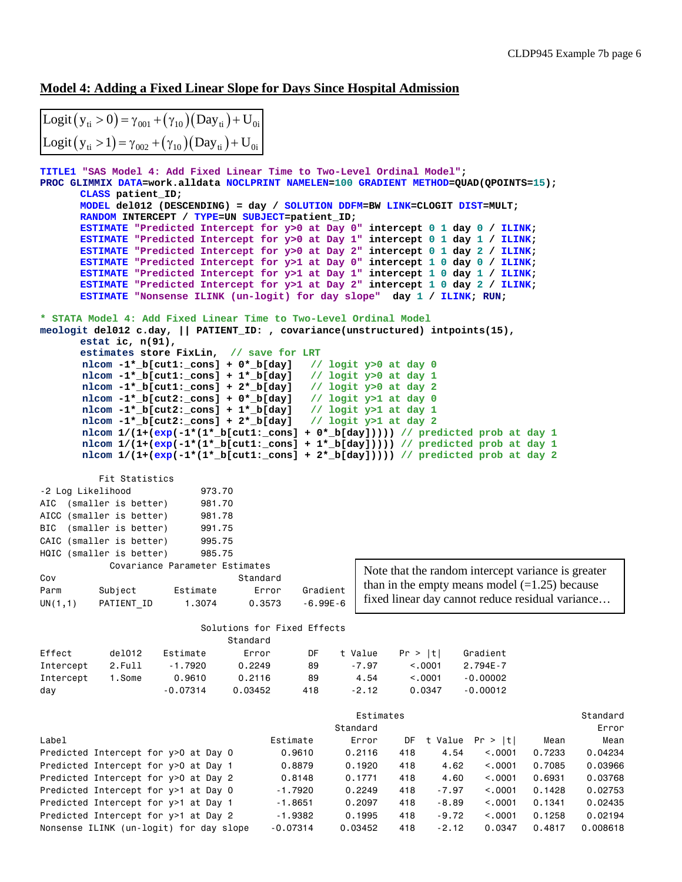#### **Model 4: Adding a Fixed Linear Slope for Days Since Hospital Admission**

| Logit $(y_{ti} > 0) = \gamma_{001} + (\gamma_{10})(Day_{ti}) + U_{0i}$ |  |
|------------------------------------------------------------------------|--|
| Logit $(y_{ti} > 1) = \gamma_{002} + (\gamma_{10})(Day_{ti}) + U_{0i}$ |  |

```
TITLE1 "SAS Model 4: Add Fixed Linear Time to Two-Level Ordinal Model";
PROC GLIMMIX DATA=work.alldata NOCLPRINT NAMELEN=100 GRADIENT METHOD=QUAD(QPOINTS=15); 
      CLASS patient_ID;
      MODEL del012 (DESCENDING) = day / SOLUTION DDFM=BW LINK=CLOGIT DIST=MULT;
      RANDOM INTERCEPT / TYPE=UN SUBJECT=patient_ID;
      ESTIMATE "Predicted Intercept for y>0 at Day 0" intercept 0 1 day 0 / ILINK;
      ESTIMATE "Predicted Intercept for y>0 at Day 1" intercept 0 1 day 1 / ILINK;
      ESTIMATE "Predicted Intercept for y>0 at Day 2" intercept 0 1 day 2 / ILINK;
      ESTIMATE "Predicted Intercept for y>1 at Day 0" intercept 1 0 day 0 / ILINK;
      ESTIMATE "Predicted Intercept for y>1 at Day 1" intercept 1 0 day 1 / ILINK;
      ESTIMATE "Predicted Intercept for y>1 at Day 2" intercept 1 0 day 2 / ILINK;
      ESTIMATE "Nonsense ILINK (un-logit) for day slope" day 1 / ILINK; RUN;
* STATA Model 4: Add Fixed Linear Time to Two-Level Ordinal Model
meologit del012 c.day, || PATIENT_ID: , covariance(unstructured) intpoints(15), 
      estat ic, n(91), 
      estimates store FixLin, // save for LRT
       nlcom -1*_b[cut1:_cons] + 0*_b[day] // logit y>0 at day 0
       nlcom -1*_b[cut1:_cons] + 1*_b[day] // logit y>0 at day 1
       nlcom -1*_b[cut1:_cons] + 2*_b[day] // logit y>0 at day 2
       nlcom -1*_b[cut2:_cons] + 0*_b[day] // logit y>1 at day 0
       nlcom -1*_b[cut2:_cons] + 1*_b[day] // logit y>1 at day 1
      nlcom -1 * b[cut2:-cons] + 2 * b[day] nlcom 1/(1+(exp(-1*(1*_b[cut1:_cons] + 0*_b[day])))) // predicted prob at day 1
      nlcom 1/(1+(exp(-1*(1*Dicut1:cons) + 1*D(day)))) // predicted prob at day 1
       nlcom 1/(1+(exp(-1*(1*_b[cut1:_cons] + 2*_b[day])))) // predicted prob at day 2
          Fit Statistics
-2 Log Likelihood 973.70
AIC (smaller is better) 981.70
AICC (smaller is better) 981.78
BIC (smaller is better) 991.75
CAIC (smaller is better) 995.75
HQIC (smaller is better) 985.75
           Covariance Parameter Estimates
Cov Standard
Parm Subject Estimate Error Gradient
UN(1,1) PATIENT_ID 1.3074 0.3573 -6.99E-6
                          Solutions for Fixed Effects
                              Standard
Effect del012 Estimate Error DF t Value Pr > |t| Gradient
Intercept 2.Full -1.7920 0.2249 89 -7.97 <.0001 2.794E-7
Intercept 1.Some 0.9610 0.2116 89 4.54 <.0001 -0.00002
day -0.07314 0.03452 418 -2.12 0.0347 -0.00012
estimates and the extendion of the extendion of the extendion of the extendion of the extendion of the extendion of \sim 51 and 2011 \sim 51 and 2011 \sim 51 and 2012 \sim 51 and 2012 \sim 51 and 2012 \sim 51 and 2012 \sim Standard Error
Label Estimate Error DF t Value Pr > |t| Mean Mean
Predicted Intercept for y>0 at Day 0 0.9610 0.2116 418 4.54 <.0001 0.7233 0.04234
Predicted Intercept for y>0 at Day 1 0.8879 0.1920 418 4.62 <.0001 0.7085 0.03966
Predicted Intercept for y>0 at Day 2 0.8148 0.1771 418 4.60 <.0001 0.6931 0.03768
Predicted Intercept for y>1 at Day 0 -1.7920 0.2249 418 -7.97 <.0001 0.1428 0.02753
Predicted Intercept for y>1 at Day 1 -1.8651 0.2097 418 -8.89 <.0001 0.1341 0.02435
Predicted Intercept for y>1 at Day 2 -1.9382 0.1995 418 -9.72 <.0001 0.1258 0.02194
                                                  Note that the random intercept variance is greater 
                                                  than in the empty means model (=1.25) because
                                                  fixed linear day cannot reduce residual variance…
```
Nonsense ILINK (un-logit) for day slope -0.07314 0.03452 418 -2.12 0.0347 0.4817 0.008618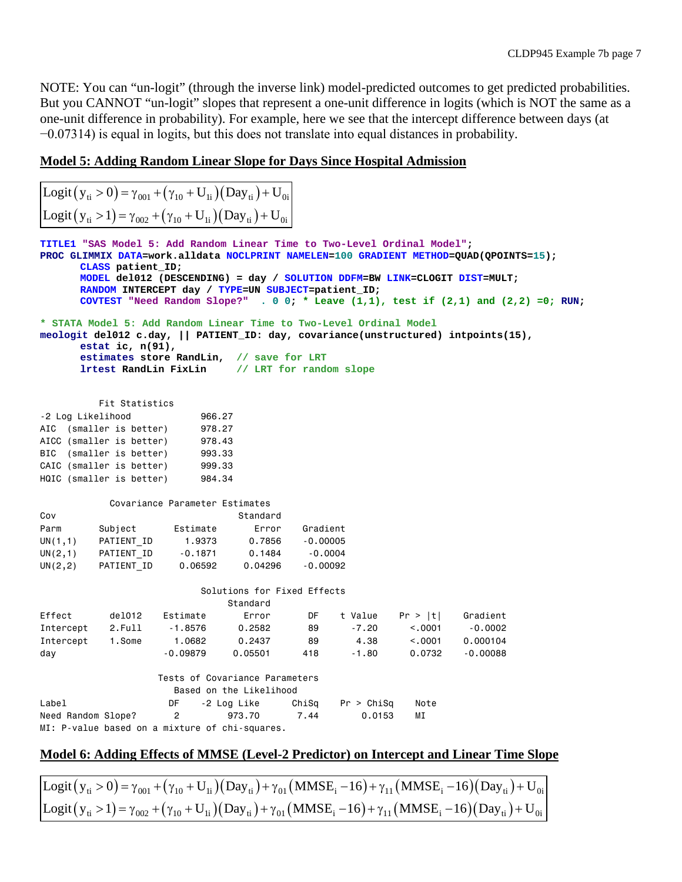NOTE: You can "un-logit" (through the inverse link) model-predicted outcomes to get predicted probabilities. But you CANNOT "un-logit" slopes that represent a one-unit difference in logits (which is NOT the same as a one-unit difference in probability). For example, here we see that the intercept difference between days (at −0.07314) is equal in logits, but this does not translate into equal distances in probability.

## **Model 5: Adding Random Linear Slope for Days Since Hospital Admission**

| $\left  \text{Logit}(y_{ti} > 0) = \gamma_{001} + (\gamma_{10} + U_{1i})(\text{Day}_{ti}) + U_{0i} \right $ |
|-------------------------------------------------------------------------------------------------------------|
| Logit $(y_{ti} > 1) = \gamma_{002} + (\gamma_{10} + U_{1i})(Day_{ti}) + U_{0i}$                             |

|                         | CLASS patient ID;                                                    | TITLE1 "SAS Model 5: Add Random Linear Time to Two-Level Ordinal Model";<br>RANDOM INTERCEPT day / TYPE=UN SUBJECT=patient ID;          |                             |               |                      |            | PROC GLIMMIX DATA=work.alldata NOCLPRINT NAMELEN=100 GRADIENT METHOD=QUAD(QPOINTS=15);<br>MODEL del012 (DESCENDING) = day / SOLUTION DDFM=BW LINK=CLOGIT DIST=MULT;<br>COVTEST "Need Random Slope?" . 0 0; * Leave $(1,1)$ , test if $(2,1)$ and $(2,2)$ =0; RUN; |  |  |  |  |
|-------------------------|----------------------------------------------------------------------|-----------------------------------------------------------------------------------------------------------------------------------------|-----------------------------|---------------|----------------------|------------|-------------------------------------------------------------------------------------------------------------------------------------------------------------------------------------------------------------------------------------------------------------------|--|--|--|--|
|                         | estat ic, $n(91)$ ,                                                  | * STATA Model 5: Add Random Linear Time to Two-Level Ordinal Model<br>estimates store RandLin, // save for LRT<br>lrtest RandLin FixLin |                             |               |                      |            | meologit del012 c.day,    PATIENT_ID: day, covariance(unstructured) intpoints(15),                                                                                                                                                                                |  |  |  |  |
| // LRT for random slope |                                                                      |                                                                                                                                         |                             |               |                      |            |                                                                                                                                                                                                                                                                   |  |  |  |  |
|                         | Fit Statistics                                                       |                                                                                                                                         |                             |               |                      |            |                                                                                                                                                                                                                                                                   |  |  |  |  |
| -2 Log Likelihood       |                                                                      | 966.27                                                                                                                                  |                             |               |                      |            |                                                                                                                                                                                                                                                                   |  |  |  |  |
|                         | AIC (smaller is better)                                              | 978.27                                                                                                                                  |                             |               |                      |            |                                                                                                                                                                                                                                                                   |  |  |  |  |
|                         | AICC (smaller is better)                                             | 978.43                                                                                                                                  |                             |               |                      |            |                                                                                                                                                                                                                                                                   |  |  |  |  |
|                         | BIC (smaller is better)                                              | 993.33                                                                                                                                  |                             |               |                      |            |                                                                                                                                                                                                                                                                   |  |  |  |  |
|                         | CAIC (smaller is better)                                             | 999.33                                                                                                                                  |                             |               |                      |            |                                                                                                                                                                                                                                                                   |  |  |  |  |
|                         | HQIC (smaller is better)                                             | 984.34                                                                                                                                  |                             |               |                      |            |                                                                                                                                                                                                                                                                   |  |  |  |  |
|                         |                                                                      | Covariance Parameter Estimates                                                                                                          |                             |               |                      |            |                                                                                                                                                                                                                                                                   |  |  |  |  |
| Cov                     |                                                                      |                                                                                                                                         | Standard                    |               |                      |            |                                                                                                                                                                                                                                                                   |  |  |  |  |
| Parm                    | Subject                                                              | Estimate                                                                                                                                | Error                       | Gradient      |                      |            |                                                                                                                                                                                                                                                                   |  |  |  |  |
| UN(1,1)                 | PATIENT ID                                                           | 1,9373                                                                                                                                  | 0.7856                      | $-0.00005$    |                      |            |                                                                                                                                                                                                                                                                   |  |  |  |  |
| UN(2,1)                 |                                                                      | PATIENT ID -0.1871                                                                                                                      | 0.1484                      | $-0.0004$     |                      |            |                                                                                                                                                                                                                                                                   |  |  |  |  |
| UN(2,2)                 | PATIENT ID                                                           | 0.06592                                                                                                                                 | 0.04296                     | $-0.00092$    |                      |            |                                                                                                                                                                                                                                                                   |  |  |  |  |
|                         |                                                                      |                                                                                                                                         |                             |               |                      |            |                                                                                                                                                                                                                                                                   |  |  |  |  |
|                         |                                                                      |                                                                                                                                         | Solutions for Fixed Effects |               |                      |            |                                                                                                                                                                                                                                                                   |  |  |  |  |
|                         |                                                                      |                                                                                                                                         | Standard                    |               |                      |            |                                                                                                                                                                                                                                                                   |  |  |  |  |
| Effect                  | de1012                                                               | Estimate                                                                                                                                | Error                       | DF            | t Value              | Pr >  t    | Gradient                                                                                                                                                                                                                                                          |  |  |  |  |
| Intercept               | 2.Fu11                                                               | - 1.8576                                                                                                                                | 0.2582                      | 89            | $-7.20$              | < .0001    | $-0.0002$                                                                                                                                                                                                                                                         |  |  |  |  |
| Intercept               | 1.Some                                                               | 1.0682                                                                                                                                  | 0.2437                      | 89            | 4.38                 | < 0.001    | 0.000104                                                                                                                                                                                                                                                          |  |  |  |  |
| day                     |                                                                      | $-0.09879$                                                                                                                              | 0.05501                     | 418           | $-1.80$              | 0.0732     | $-0.00088$                                                                                                                                                                                                                                                        |  |  |  |  |
|                         |                                                                      |                                                                                                                                         |                             |               |                      |            |                                                                                                                                                                                                                                                                   |  |  |  |  |
|                         |                                                                      | Tests of Covariance Parameters                                                                                                          |                             |               |                      |            |                                                                                                                                                                                                                                                                   |  |  |  |  |
|                         |                                                                      |                                                                                                                                         | Based on the Likelihood     |               |                      |            |                                                                                                                                                                                                                                                                   |  |  |  |  |
| Label                   |                                                                      | DF<br>$\overline{c}$                                                                                                                    | -2 Log Like<br>973.70       | ChiSq<br>7.44 | Pr > Chisq<br>0.0153 | Note<br>ΜI |                                                                                                                                                                                                                                                                   |  |  |  |  |
|                         | Need Random Slope?<br>MI: P-value based on a mixture of chi-squares. |                                                                                                                                         |                             |               |                      |            |                                                                                                                                                                                                                                                                   |  |  |  |  |
|                         |                                                                      |                                                                                                                                         |                             |               |                      |            |                                                                                                                                                                                                                                                                   |  |  |  |  |

# **Model 6: Adding Effects of MMSE (Level-2 Predictor) on Intercept and Linear Time Slope**

Logit  $(y_{ti} > 0) = \gamma_{001} + (\gamma_{10} + U_{1i})(Day_{ti}) + \gamma_{01}(MMSE_i - 16) + \gamma_{11}(MMSE_i - 16)(Day_{ti}) + U_{0i}$ Logit  $(y_{ti} > 1) = \gamma_{002} + (\gamma_{10} + U_{1i})(Day_{ti}) + \gamma_{01}(MMSE_i - 16) + \gamma_{11}(MMSE_i - 16)(Day_{ti}) + U_{0i}$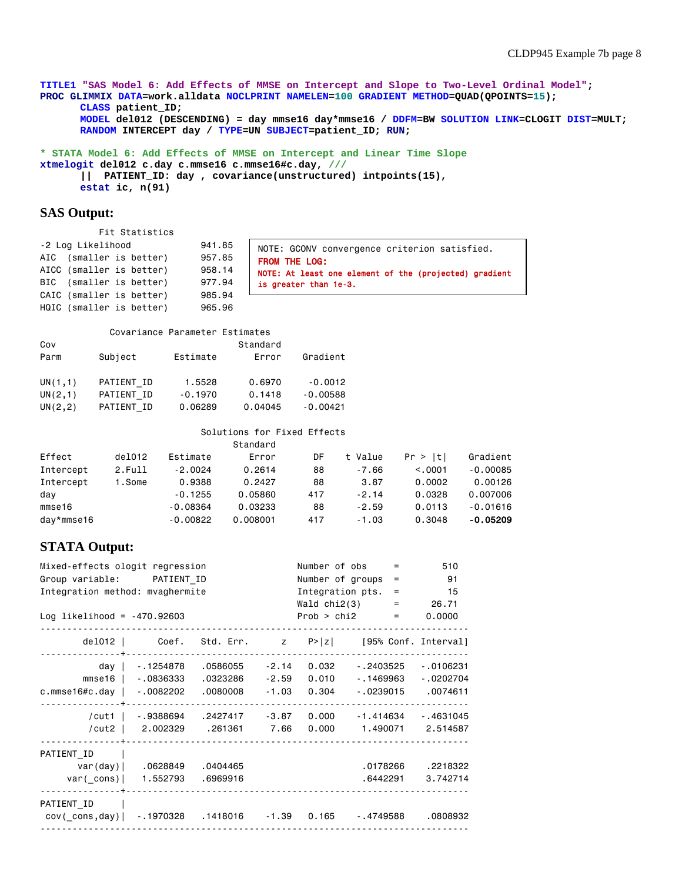**TITLE1 "SAS Model 6: Add Effects of MMSE on Intercept and Slope to Two-Level Ordinal Model"; PROC GLIMMIX DATA=work.alldata NOCLPRINT NAMELEN=100 GRADIENT METHOD=QUAD(QPOINTS=15); CLASS patient\_ID; MODEL del012 (DESCENDING) = day mmse16 day\*mmse16 / DDFM=BW SOLUTION LINK=CLOGIT DIST=MULT; RANDOM INTERCEPT day / TYPE=UN SUBJECT=patient\_ID; RUN;**

**\* STATA Model 6: Add Effects of MMSE on Intercept and Linear Time Slope xtmelogit del012 c.day c.mmse16 c.mmse16#c.day, /// || PATIENT\_ID: day , covariance(unstructured) intpoints(15), estat ic, n(91)**

#### **SAS Output:**

 Fit Statistics -2 Log Likelihood 941.85

AIC (smaller is better) 957.85 AICC (smaller is better) 958.14 BIC (smaller is better) 977.94 CAIC (smaller is better) 985.94 HQIC (smaller is better) 965.96

NOTE: GCONV convergence criterion satisfied. FROM THE LOG: NOTE: At least one element of the (projected) gradient is greater than 1e-3.

#### Covariance Parameter Estimates

| Cov         |                |           | Standard |            |
|-------------|----------------|-----------|----------|------------|
| Parm        | Subject        | Estimate  | Error    | Gradient   |
|             |                |           |          |            |
| UN(1,1)     | PATIENT ID     | 1.5528    | 0.6970   | $-0.0012$  |
| UN(2,1)     | PATIENT ID     | $-0.1970$ | 0.1418   | $-0.00588$ |
| UN $(2, 2)$ | PATIENT<br>-TD | 0.06289   | 0.04045  | $-0.00421$ |

#### Solutions for Fixed Effects

|            |        |            | Standard |     |         |         |            |
|------------|--------|------------|----------|-----|---------|---------|------------|
| Effect     | de1012 | Estimate   | Error    | DF  | t Value | Pr >  t | Gradient   |
| Intercept  | 2.Full | $-2,0024$  | 0.2614   | 88  | $-7.66$ | < 0.001 | $-0.00085$ |
| Intercept  | 1.Some | 0.9388     | 0.2427   | 88  | 3.87    | 0.0002  | 0.00126    |
| day        |        | $-0.1255$  | 0.05860  | 417 | $-2.14$ | 0.0328  | 0.007006   |
| mmse16     |        | $-0.08364$ | 0.03233  | 88  | $-2.59$ | 0.0113  | $-0.01616$ |
| day*mmse16 |        | $-0.00822$ | 0.008001 | 417 | $-1.03$ | 0.3048  | $-0.05209$ |

## **STATA Output:**

| Mixed-effects ologit regression |                    |                       |         | Number of obs | $=$                                                         | 510        |
|---------------------------------|--------------------|-----------------------|---------|---------------|-------------------------------------------------------------|------------|
| Group variable: PATIENT ID      |                    |                       |         |               | Number of groups<br>$\equiv$                                | 91         |
| Integration method: mvaghermite |                    |                       |         |               | Integration pts.<br>$=$                                     | 15         |
|                                 |                    |                       |         |               | Wald chi2(3)                                                | $= 26.71$  |
| Log likelihood = $-470.92603$   |                    |                       |         |               | Prob > chi2<br>$\equiv 1.0000$                              | 0.0000     |
|                                 |                    |                       |         |               |                                                             |            |
|                                 |                    |                       |         |               | del012   Coef. Std. Err. $z = P >  z $ [95% Conf. Interval] |            |
|                                 |                    |                       |         |               |                                                             |            |
|                                 | day   1254878      | .0586055              | $-2.14$ | 0.032         | - 2403525                                                   | $-0106231$ |
|                                 | mmse16   -.0836333 | .0323286              | $-2.59$ | 0.010         | $-1469963$                                                  | $-0202704$ |
| c.mmse16#c.day   -.0082202      |                    | .0080008              | $-1.03$ | 0.304         | - .0239015                                                  | .0074611   |
|                                 |                    |                       |         |               |                                                             |            |
| /cut1                           | - 9388694          | .2427417 -3.87        |         | 0.000         | -1.414634                                                   | $-4631045$ |
| /cut2 $\vert$                   |                    | 2.002329 .261361 7.66 |         | 0.000         | 1.490071                                                    | 2.514587   |
|                                 |                    |                       |         |               |                                                             |            |
| PATIENT ID                      |                    |                       |         |               |                                                             |            |
|                                 | var(day)  .0628849 | .0404465              |         |               | .0178266                                                    | .2218322   |
| var(_cons)                      | 1.552793           | .6969916              |         |               | .6442291                                                    | 3.742714   |
|                                 |                    |                       |         |               |                                                             |            |
| PATIENT ID                      |                    |                       |         |               |                                                             |            |
| cov(cons,day)  -.1970328        |                    |                       |         |               |                                                             | .0808932   |
|                                 |                    |                       |         |               |                                                             |            |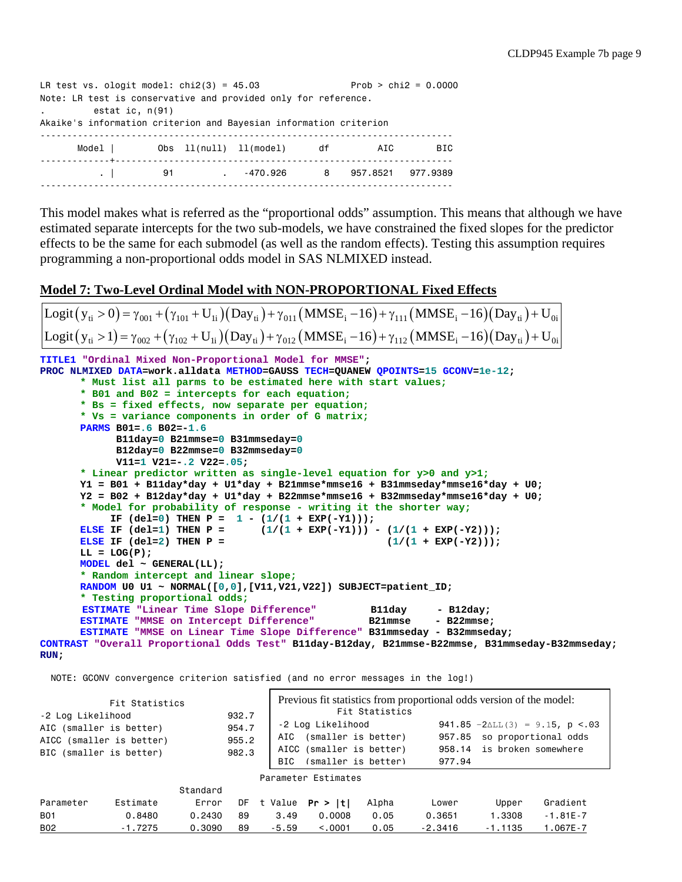```
LR test vs. ologit model: \text{chi}(3) = 45.03 Prob > \text{chi}(2) = 0.0000Note: LR test is conservative and provided only for reference.
         . estat ic, n(91)
Akaike's information criterion and Bayesian information criterion
-----------------------------------------------------------------------------
      Model | Obs 11(null) 11(model) df AIC BIC
-------------+---------------------------------------------------------------
        . | 91 . -470.926 8 957.8521 977.9389
 -----------------------------------------------------------------------------
```
This model makes what is referred as the "proportional odds" assumption. This means that although we have estimated separate intercepts for the two sub-models, we have constrained the fixed slopes for the predictor effects to be the same for each submodel (as well as the random effects). Testing this assumption requires programming a non-proportional odds model in SAS NLMIXED instead.

## **Model 7: Two-Level Ordinal Model with NON-PROPORTIONAL Fixed Effects**

```
TITLE1 "Ordinal Mixed Non-Proportional Model for MMSE";
PROC NLMIXED DATA=work.alldata METHOD=GAUSS TECH=QUANEW QPOINTS=15 GCONV=1e-12;
       * Must list all parms to be estimated here with start values;
       * B01 and B02 = intercepts for each equation;
       * Bs = fixed effects, now separate per equation;
       * Vs = variance components in order of G matrix;
       PARMS B01=.6 B02=-1.6
               B11day=0 B21mmse=0 B31mmseday=0
               B12day=0 B22mmse=0 B32mmseday=0 
               V11=1 V21=-.2 V22=.05;
       * Linear predictor written as single-level equation for y>0 and y>1;
       Y1 = B01 + B11day*day + U1*day + B21mmse*mmse16 + B31mmseday*mmse16*day + U0;
       Y2 = B02 + B12day*day + U1*day + B22mmse*mmse16 + B32mmseday*mmse16*day + U0;
       * Model for probability of response - writing it the shorter way;
       IF (del=0) THEN P = 1 - (1/(1 + EXP(-Y1)));<br>ELSE IF (del=1) THEN P = (1/(1 + EXP(-Y1)))(1/(1 + EXP(-Y1))) - (1/(1 + EXP(-Y2)));<br>(1/(1 + EXP(-Y2)));
       ELSE IF (del=2) THEN P =LL = LOG(P);
       MODEL del ~ GENERAL(LL);
       * Random intercept and linear slope;
       RANDOM U0 U1 ~ NORMAL([0,0],[V11,V21,V22]) SUBJECT=patient_ID;
       * Testing proportional odds;
       ESTIMATE "Linear Time Slope Difference" and B11day - B12day;<br>
ESTIMATE "MMSE on Intercept Difference" B21mmse - B22mmse;
       ESTIMATE "MMSE on Intercept Difference"
       ESTIMATE "MMSE on Linear Time Slope Difference" B31mmseday - B32mmseday;
CONTRAST "Overall Proportional Odds Test" B11day-B12day, B21mmse-B22mmse, B31mmseday-B32mmseday;
 Logit (y_{ti} > 0) = \gamma_{001} + (\gamma_{101} + U_{1i})(Day_{ti}) + \gamma_{011}(MMSE_i - 16) + \gamma_{111}(MMSE_i - 16)(Day_{ti}) + U_{0i}Logit (y_{ti} > 1) = \gamma_{002} + (\gamma_{102} + U_{1i})(Day_{ti}) + \gamma_{012}(MMSE_i - 16) + \gamma_{112}(MMSE_i - 16)(Day_{ti}) + U_{0i}
```

```
RUN;
```
NOTE: GCONV convergence criterion satisfied (and no error messages in the log!)

| Fit Statistics<br>-2 Log Likelihood                                            |           |          | 932.7                   |         | Previous fit statistics from proportional odds version of the model:<br>Fit Statistics |       |                  |                                                                                         |              |  |  |  |  |
|--------------------------------------------------------------------------------|-----------|----------|-------------------------|---------|----------------------------------------------------------------------------------------|-------|------------------|-----------------------------------------------------------------------------------------|--------------|--|--|--|--|
| AIC (smaller is better)<br>AICC (smaller is better)<br>BIC (smaller is better) |           |          | 954.7<br>955.2<br>982.3 |         | -2 Log Likelihood<br>(smaller is better)<br>AICC (smaller is better)                   |       | 957.85<br>958.14 | 941.85 $-2\Delta L L$ (3) = 9.15, p <.03<br>so proportional odds<br>is broken somewhere |              |  |  |  |  |
|                                                                                |           |          |                         | BTC.    | (smaller is better)                                                                    |       | 977.94           |                                                                                         |              |  |  |  |  |
|                                                                                |           |          |                         |         | Parameter Estimates                                                                    |       |                  |                                                                                         |              |  |  |  |  |
|                                                                                |           | Standard |                         |         |                                                                                        |       |                  |                                                                                         |              |  |  |  |  |
| Parameter                                                                      | Estimate  | Error    | DF                      | t Value | Pr >  t                                                                                | Alpha | Lower            | Upper                                                                                   | Gradient     |  |  |  |  |
| <b>B01</b>                                                                     | 0.8480    | 0.2430   | 89                      | 3.49    | 0.0008                                                                                 | 0.05  | 0.3651           | 1,3308                                                                                  | $-1.81E - 7$ |  |  |  |  |
| <b>B02</b>                                                                     | $-1.7275$ | 0.3090   | 89                      | $-5.59$ | < 0.001                                                                                | 0.05  | $-2.3416$        | $-1.1135$                                                                               | $1.067E - 7$ |  |  |  |  |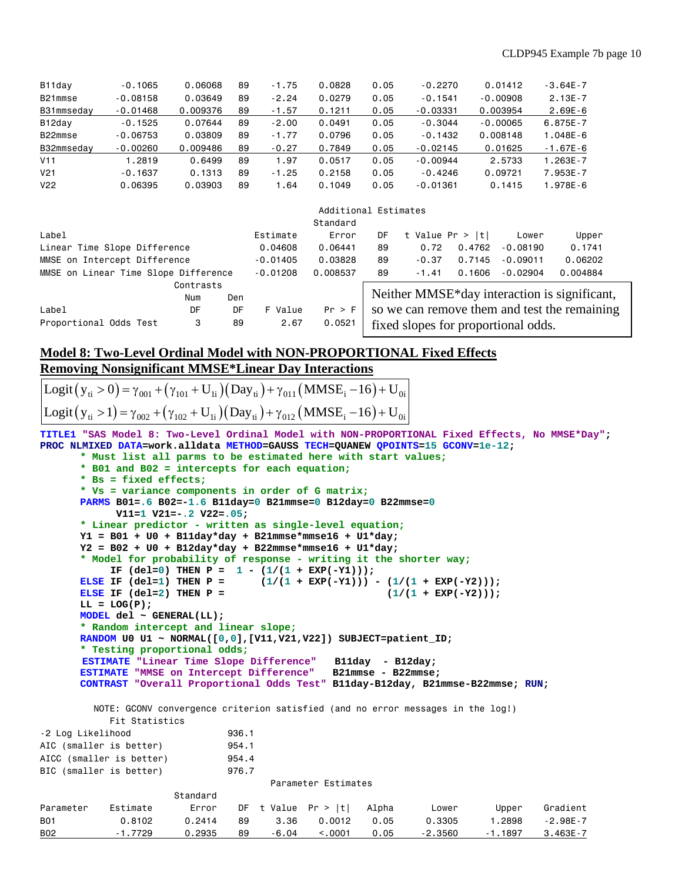| B <sub>11</sub> day | $-0.1065$  | 0.06068  | 89 | $-1.75$ | 0.0828 | 0.05 | $-0.2270$  | 0.01412    | $-3.64E - 7$ |
|---------------------|------------|----------|----|---------|--------|------|------------|------------|--------------|
| B21mmse             | $-0.08158$ | 0.03649  | 89 | $-2.24$ | 0.0279 | 0.05 | $-0.1541$  | $-0.00908$ | $2.13E - 7$  |
| B31mmsedav          | $-0.01468$ | 0.009376 | 89 | $-1.57$ | 0.1211 | 0.05 | $-0.03331$ | 0.003954   | $2.69E - 6$  |
| B12day              | $-0.1525$  | 0.07644  | 89 | $-2.00$ | 0.0491 | 0.05 | $-0.3044$  | $-0.00065$ | $6.875E - 7$ |
| B22mmse             | $-0.06753$ | 0.03809  | 89 | $-1.77$ | 0.0796 | 0.05 | $-0.1432$  | 0.008148   | $1.048E - 6$ |
| B32mmsedav          | $-0.00260$ | 0.009486 | 89 | $-0.27$ | 0.7849 | 0.05 | $-0.02145$ | 0.01625    | $-1.67E-6$   |
| V11                 | .2819      | 0.6499   | 89 | .97     | 0.0517 | 0.05 | $-0.00944$ | 2.5733     | $1.263E - 7$ |
| V <sub>21</sub>     | $-0.1637$  | 0.1313   | 89 | $-1.25$ | 0.2158 | 0.05 | $-0.4246$  | 0.09721    | 7.953E-7     |
| V <sub>22</sub>     | 0.06395    | 0.03903  | 89 | .64     | 0.1049 | 0.05 | $-0.01361$ | 0.1415     | 1.978E-6     |

|                                      |           |     |            | Additional Estimates |                                     |                    |        |            |                                              |  |  |
|--------------------------------------|-----------|-----|------------|----------------------|-------------------------------------|--------------------|--------|------------|----------------------------------------------|--|--|
|                                      |           |     |            | Standard             |                                     |                    |        |            |                                              |  |  |
| Label                                |           |     | Estimate   | Error                | DF                                  | t Value $Pr >  t $ |        | Lower      | Upper                                        |  |  |
| Linear Time Slope Difference         |           |     | 0.04608    | 0.06441              | 89                                  | 0.72               | 0.4762 | $-0.08190$ | 0.1741                                       |  |  |
| MMSE on Intercept Difference         |           |     | $-0.01405$ | 0.03828              | 89                                  | $-0.37$            | 0.7145 | $-0.09011$ | 0.06202                                      |  |  |
| MMSE on Linear Time Slope Difference |           |     | $-0.01208$ | 0.008537             | 89                                  | $-1.41$            | 0.1606 | $-0.02904$ | 0.004884                                     |  |  |
|                                      | Contrasts |     |            |                      |                                     |                    |        |            |                                              |  |  |
|                                      | Num       | Den |            |                      |                                     |                    |        |            | Neither MMSE*day interaction is significant, |  |  |
| Label                                | DF        | DF  | F Value    | Pr > F               |                                     |                    |        |            | so we can remove them and test the remaining |  |  |
| Proportional Odds Test               | 3         | 89  | 2.67       | 0.0521               | fixed slopes for proportional odds. |                    |        |            |                                              |  |  |

## **Model 8: Two-Level Ordinal Model with NON-PROPORTIONAL Fixed Effects Removing Nonsignificant MMSE\*Linear Day Interactions**

Logit  $(y_{ti} > 0) = \gamma_{001} + (\gamma_{101} + U_{1i})(Day_{ti}) + \gamma_{011}(MMSE_i - 16) + U_{0i}$ Logit  $(y_{ti} > 1) = \gamma_{002} + (\gamma_{102} + U_{1i})(Day_{ti}) + \gamma_{012}(MMSE_i - 16) + U_{0i}$ 

**TITLE1 "SAS Model 8: Two-Level Ordinal Model with NON-PROPORTIONAL Fixed Effects, No MMSE\*Day"; PROC NLMIXED DATA=work.alldata METHOD=GAUSS TECH=QUANEW QPOINTS=15 GCONV=1e-12;**

```
* Must list all parms to be estimated here with start values;
      * B01 and B02 = intercepts for each equation;
      * Bs = fixed effects;
      * Vs = variance components in order of G matrix;
      PARMS B01=.6 B02=-1.6 B11day=0 B21mmse=0 B12day=0 B22mmse=0
             V11=1 V21=-.2 V22=.05;
      * Linear predictor - written as single-level equation;
      Y1 = B01 + U0 + B11day*day + B21mmse*mmse16 + U1*day;
      Y2 = B02 + U0 + B12day*day + B22mmse*mmse16 + U1*day;
      * Model for probability of response - writing it the shorter way;
      IF (del=0) THEN P = 1 - (1/(1 + EXP(-Y1)));<br>ELSE IF (del=1) THEN P = (1/(1 + EXP(-Y1)))(1/(1 + EXP(-Y1))) - (1/(1 + EXP(-Y2)));<br>(1/(1 + EXP(-Y2)));
      ELSE IF (del=2) THEN P =LL = LOG(P);
      MODEL del ~ GENERAL(LL);
      * Random intercept and linear slope;
      RANDOM U0 U1 ~ NORMAL([0,0],[V11,V21,V22]) SUBJECT=patient_ID; 
      * Testing proportional odds;
       ESTIMATE "Linear Time Slope Difference" B11day - B12day;
      ESTIMATE "MMSE on Intercept Difference"
      CONTRAST "Overall Proportional Odds Test" B11day-B12day, B21mmse-B22mmse; RUN;
         NOTE: GCONV convergence criterion satisfied (and no error messages in the log!)
            Fit Statistics
-2 Log Likelihood 936.1
AIC (smaller is better) 954.1
AICC (smaller is better) 954.4
BIC (smaller is better) 976.7
                                       Parameter Estimates
                       Standard
Parameter Estimate Frror DF t Value Pr > |t| Alpha  Lower Upper Gradient
B01 0.8102 0.2414 89 3.36 0.0012 0.05 0.3305 1.2898 -2.98E-7
B02 -1.7729 0.2935 89 -6.04 <.0001 0.05 -2.3560 -1.1897 3.463E-7
```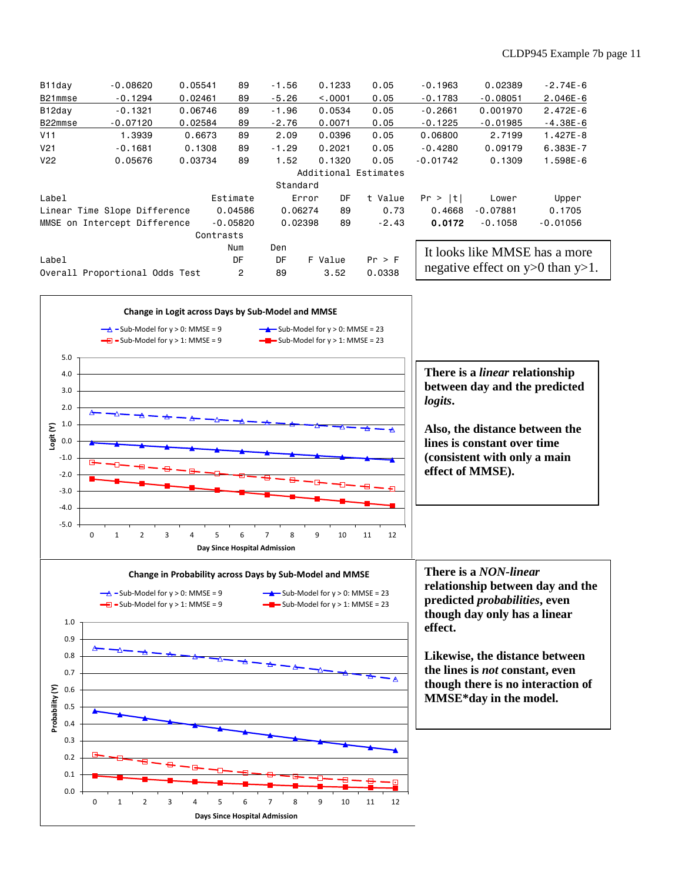| B11day                       | $-0.08620$                     | 0.05541 | 89             | $-1.56$ |         | 0.1233   | 0.05                 | $-0.1963$  | 0.02389    | $-2.74E-6$                            |  |  |  |
|------------------------------|--------------------------------|---------|----------------|---------|---------|----------|----------------------|------------|------------|---------------------------------------|--|--|--|
| B21mmse                      | $-0.1294$                      | 0.02461 | 89             | $-5.26$ |         | < 0.0001 | 0.05                 | $-0.1783$  | $-0.08051$ | $2.046E - 6$                          |  |  |  |
| B12day                       | $-0.1321$                      | 0.06746 | 89             | $-1.96$ |         | 0.0534   | 0.05                 | $-0.2661$  | 0.001970   | $2.472E - 6$                          |  |  |  |
| B22mmse                      | $-0.07120$                     | 0.02584 | 89             | $-2.76$ |         | 0.0071   | 0.05                 | $-0.1225$  | $-0.01985$ | $-4.38E-6$                            |  |  |  |
| V11                          | 1.3939                         | 0.6673  | 89             | 2.09    |         | 0.0396   | 0.05                 | 0,06800    | 2,7199     | $1.427E - 8$                          |  |  |  |
| V <sub>21</sub>              | $-0.1681$                      | 0.1308  | 89             | $-1.29$ |         | 0.2021   | 0.05                 | $-0.4280$  | 0.09179    | 6.383E-7                              |  |  |  |
| V <sub>22</sub>              | 0.05676                        | 0.03734 | 89             | 1.52    |         | 0.1320   | 0.05                 | $-0.01742$ | 0.1309     | $1.598E - 6$                          |  |  |  |
|                              |                                |         |                |         |         |          | Additional Estimates |            |            |                                       |  |  |  |
| Standard                     |                                |         |                |         |         |          |                      |            |            |                                       |  |  |  |
| Label                        |                                |         | Estimate       |         | Error   | DF       | t Value              | Pr >  t    | Lower      | Upper                                 |  |  |  |
| Linear Time Slope Difference |                                |         | 0.04586        |         | 0.06274 | 89       | 0.73                 | 0.4668     | $-0.07881$ | 0.1705                                |  |  |  |
|                              | MMSE on Intercept Difference   |         | $-0.05820$     |         | 0.02398 | 89       | $-2.43$              | 0.0172     | $-0.1058$  | $-0.01056$                            |  |  |  |
|                              |                                |         | Contrasts      |         |         |          |                      |            |            |                                       |  |  |  |
|                              |                                |         | Num            | Den     |         |          |                      |            |            | It looks like MMSE has a more         |  |  |  |
| Label                        |                                |         | DF             | DF      |         | F Value  | Pr > F               |            |            |                                       |  |  |  |
|                              | Overall Proportional Odds Test |         | $\overline{2}$ | 89      |         | 3.52     | 0.0338               |            |            | negative effect on $y>0$ than $y>1$ . |  |  |  |
|                              |                                |         |                |         |         |          |                      |            |            |                                       |  |  |  |



0 1 2 3 4 5 6 7 8 9 10 11 12

**Days Since Hospital Admission**

0.0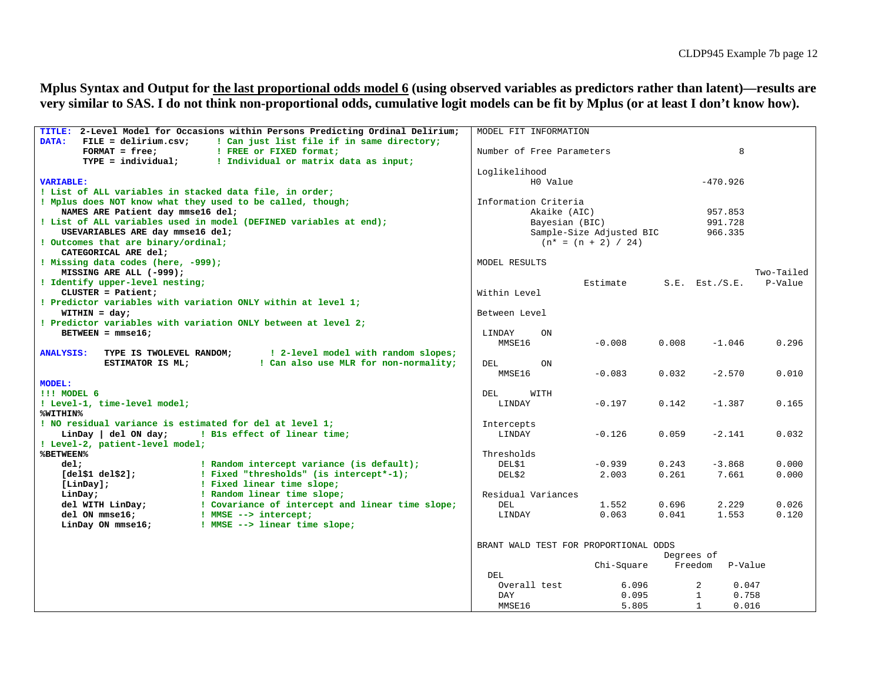**Mplus Syntax and Output for the last proportional odds model 6 (using observed variables as predictors rather than latent)—results are very similar to SAS. I do not think non-proportional odds, cumulative logit models can be fit by Mplus (or at least I don't know how).**

| TITLE: 2-Level Model for Occasions within Persons Predicting Ordinal Delirium;      | MODEL FIT INFORMATION                 |            |            |                         |            |
|-------------------------------------------------------------------------------------|---------------------------------------|------------|------------|-------------------------|------------|
| $FILE = delirium.csv:$<br>! Can just list file if in same directory;<br>DATA:       |                                       |            |            |                         |            |
| $FORMAT = free;$<br>! FREE or FIXED format;                                         | Number of Free Parameters             |            | 8          |                         |            |
| $TYPE = individual;$<br>! Individual or matrix data as input;                       |                                       |            |            |                         |            |
|                                                                                     | Loglikelihood                         |            |            |                         |            |
| <b>VARIABLE:</b>                                                                    | H0 Value                              |            |            | $-470.926$              |            |
| ! List of ALL variables in stacked data file, in order;                             |                                       |            |            |                         |            |
| ! Mplus does NOT know what they used to be called, though;                          | Information Criteria                  |            |            |                         |            |
| NAMES ARE Patient day mmse16 del;                                                   | Akaike (AIC)                          |            | 957.853    |                         |            |
| ! List of ALL variables used in model (DEFINED variables at end);                   | Bayesian (BIC)                        |            | 991.728    |                         |            |
| USEVARIABLES ARE day mmse16 del;                                                    | Sample-Size Adjusted BIC              |            | 966.335    |                         |            |
| ! Outcomes that are binary/ordinal;                                                 | $(n* = (n + 2) / 24)$                 |            |            |                         |            |
| CATEGORICAL ARE del:                                                                |                                       |            |            |                         |            |
| ! Missing data codes (here, -999);                                                  | MODEL RESULTS                         |            |            |                         |            |
| MISSING ARE ALL (-999);                                                             |                                       |            |            |                         | Two-Tailed |
| ! Identify upper-level nesting;                                                     |                                       | Estimate   |            | $S.E.$ Est./ $S.E.$     | P-Value    |
| $CLUSTER = Patient;$                                                                | Within Level                          |            |            |                         |            |
| ! Predictor variables with variation ONLY within at level 1;                        |                                       |            |            |                         |            |
| $WITHIN = day;$                                                                     | Between Level                         |            |            |                         |            |
| ! Predictor variables with variation ONLY between at level 2;                       |                                       |            |            |                         |            |
| BETWEEN = $mmse16$ ;                                                                | LINDAY<br>ON                          |            |            |                         |            |
|                                                                                     | MMSE16                                | $-0.008$   | 0.008      | $-1.046$                | 0.296      |
| TYPE IS TWOLEVEL RANDOM;<br>! 2-level model with random slopes;<br><b>ANALYSIS:</b> |                                       |            |            |                         |            |
| ! Can also use MLR for non-normality;<br>ESTIMATOR IS ML;                           | DEL<br>ON                             |            |            |                         |            |
|                                                                                     | MMSE16                                | $-0.083$   | 0.032      | $-2.570$                | 0.010      |
| <b>MODEL:</b>                                                                       |                                       |            |            |                         |            |
| !!! MODEL 6                                                                         | WITH<br>DEL                           |            |            |                         |            |
| ! Level-1, time-level model;                                                        | LINDAY                                | $-0.197$   | 0.142      | $-1.387$                | 0.165      |
| %WITHIN%                                                                            |                                       |            |            |                         |            |
| ! NO residual variance is estimated for del at level 1;                             | Intercepts                            |            |            |                         |            |
| LinDay del ON day;<br>! Bls effect of linear time;                                  | LINDAY                                | $-0.126$   | 0.059      | $-2.141$                | 0.032      |
| ! Level-2, patient-level model;                                                     |                                       |            |            |                         |            |
| <b>%BETWEEN%</b>                                                                    | Thresholds                            |            |            |                         |            |
| ! Random intercept variance (is default);<br>del;                                   | DEL\$1                                | $-0.939$   | 0.243      | $-3.868$                | 0.000      |
| ! Fixed "thresholds" (is intercept*-1);<br>$[del$1$ $del$2];$                       | DEL\$2                                | 2.003      | 0.261      | 7.661                   | 0.000      |
| [LinDay];<br>! Fixed linear time slope;                                             |                                       |            |            |                         |            |
| ! Random linear time slope;<br>LinDay;                                              | Residual Variances                    |            |            |                         |            |
| del WITH LinDay;<br>! Covariance of intercept and linear time slope;                | DEL                                   | 1.552      | 0.696      | 2.229                   | 0.026      |
| del ON mmse16;<br>! MMSE --> intercept;                                             | LINDAY                                | 0.063      | 0.041      | 1.553                   | 0.120      |
| LinDay ON mmse16;<br>! MMSE --> linear time slope;                                  |                                       |            |            |                         |            |
|                                                                                     |                                       |            |            |                         |            |
|                                                                                     | BRANT WALD TEST FOR PROPORTIONAL ODDS |            |            |                         |            |
|                                                                                     |                                       |            | Degrees of |                         |            |
|                                                                                     |                                       | Chi-Square | Freedom    | P-Value                 |            |
|                                                                                     | DEL                                   |            |            |                         |            |
|                                                                                     | Overall test                          | 6.096      |            | $\overline{a}$<br>0.047 |            |
|                                                                                     | DAY                                   | 0.095      |            | 0.758<br>1              |            |
|                                                                                     | MMSE16                                | 5.805      |            | 0.016<br>1              |            |